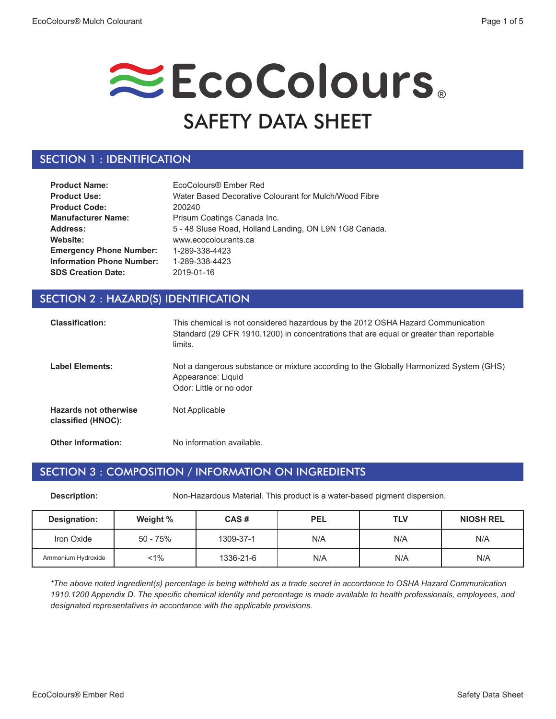# EcoColours. SAFETY DATA SHEET

### SECTION 1 : IDENTIFICATION

| <b>Product Name:</b>             | EcoColours® Ember Red                                  |
|----------------------------------|--------------------------------------------------------|
| <b>Product Use:</b>              | Water Based Decorative Colourant for Mulch/Wood Fibre  |
| <b>Product Code:</b>             | 200240                                                 |
| <b>Manufacturer Name:</b>        | Prisum Coatings Canada Inc.                            |
| Address:                         | 5 - 48 Sluse Road, Holland Landing, ON L9N 1G8 Canada. |
| Website:                         | www.ecocolourants.ca                                   |
| <b>Emergency Phone Number:</b>   | 1-289-338-4423                                         |
| <b>Information Phone Number:</b> | 1-289-338-4423                                         |
| <b>SDS Creation Date:</b>        | 2019-01-16                                             |

### SECTION 2 : HAZARD(S) IDENTIFICATION

| <b>Classification:</b>                             | This chemical is not considered hazardous by the 2012 OSHA Hazard Communication<br>Standard (29 CFR 1910.1200) in concentrations that are equal or greater than reportable<br>limits. |
|----------------------------------------------------|---------------------------------------------------------------------------------------------------------------------------------------------------------------------------------------|
| <b>Label Elements:</b>                             | Not a dangerous substance or mixture according to the Globally Harmonized System (GHS)<br>Appearance: Liquid<br>Odor: Little or no odor                                               |
| <b>Hazards not otherwise</b><br>classified (HNOC): | Not Applicable                                                                                                                                                                        |
| <b>Other Information:</b>                          | No information available.                                                                                                                                                             |

#### SECTION 3 : COMPOSITION / INFORMATION ON INGREDIENTS

**Description:** Non-Hazardous Material. This product is a water-based pigment dispersion.

| Designation:       | Weight % | CAS#      | <b>PEL</b> | <b>TLV</b> | <b>NIOSH REL</b> |
|--------------------|----------|-----------|------------|------------|------------------|
| Iron Oxide         | 50 - 75% | 1309-37-1 | N/A        | N/A        | N/A              |
| Ammonium Hydroxide | $1\%$    | 1336-21-6 | N/A        | N/A        | N/A              |

*\*The above noted ingredient(s) percentage is being withheld as a trade secret in accordance to OSHA Hazard Communication 1910.1200 Appendix D. The specific chemical identity and percentage is made available to health professionals, employees, and designated representatives in accordance with the applicable provisions.*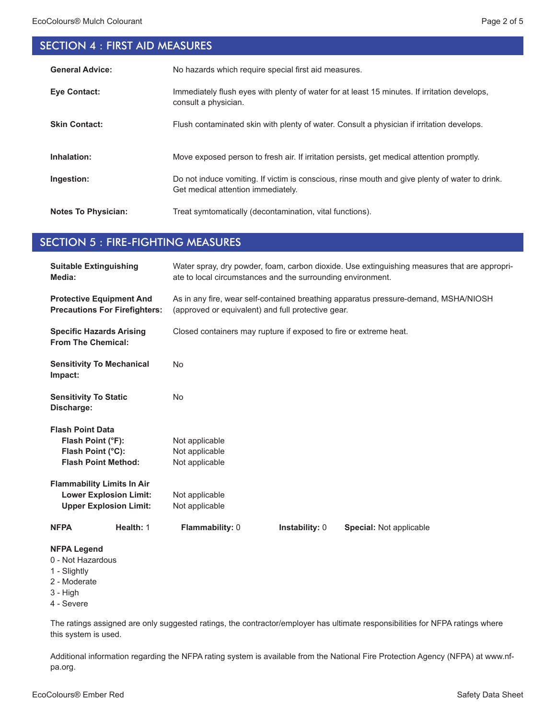# SECTION 4 : FIRST AID MEASURES

| <b>General Advice:</b>     | No hazards which require special first aid measures.                                                                                 |
|----------------------------|--------------------------------------------------------------------------------------------------------------------------------------|
| <b>Eve Contact:</b>        | Immediately flush eyes with plenty of water for at least 15 minutes. If irritation develops,<br>consult a physician.                 |
| <b>Skin Contact:</b>       | Flush contaminated skin with plenty of water. Consult a physician if irritation develops.                                            |
| Inhalation:                | Move exposed person to fresh air. If irritation persists, get medical attention promptly.                                            |
| Ingestion:                 | Do not induce vomiting. If victim is conscious, rinse mouth and give plenty of water to drink.<br>Get medical attention immediately. |
| <b>Notes To Physician:</b> | Treat symtomatically (decontamination, vital functions).                                                                             |

#### SECTION 5 : FIRE-FIGHTING MEASURES

| <b>Suitable Extinguishing</b><br>Media:                                                             | Water spray, dry powder, foam, carbon dioxide. Use extinguishing measures that are appropri-<br>ate to local circumstances and the surrounding environment. |  |  |
|-----------------------------------------------------------------------------------------------------|-------------------------------------------------------------------------------------------------------------------------------------------------------------|--|--|
| <b>Protective Equipment And</b><br><b>Precautions For Firefighters:</b>                             | As in any fire, wear self-contained breathing apparatus pressure-demand, MSHA/NIOSH<br>(approved or equivalent) and full protective gear.                   |  |  |
| <b>Specific Hazards Arising</b><br><b>From The Chemical:</b>                                        | Closed containers may rupture if exposed to fire or extreme heat.                                                                                           |  |  |
| <b>Sensitivity To Mechanical</b><br>Impact:                                                         | <b>No</b>                                                                                                                                                   |  |  |
| <b>Sensitivity To Static</b><br>Discharge:                                                          | <b>No</b>                                                                                                                                                   |  |  |
| <b>Flash Point Data</b>                                                                             |                                                                                                                                                             |  |  |
| Flash Point (°F):                                                                                   | Not applicable                                                                                                                                              |  |  |
| Flash Point (°C):                                                                                   | Not applicable                                                                                                                                              |  |  |
| <b>Flash Point Method:</b>                                                                          | Not applicable                                                                                                                                              |  |  |
| <b>Flammability Limits In Air</b>                                                                   |                                                                                                                                                             |  |  |
| <b>Lower Explosion Limit:</b>                                                                       | Not applicable                                                                                                                                              |  |  |
| <b>Upper Explosion Limit:</b>                                                                       | Not applicable                                                                                                                                              |  |  |
| Health: 1<br><b>NFPA</b>                                                                            | Flammability: 0<br><b>Instability: 0</b><br><b>Special: Not applicable</b>                                                                                  |  |  |
| <b>NFPA Legend</b><br>0 - Not Hazardous<br>1 - Slightly<br>2 - Moderate<br>$3 - High$<br>4 - Severe |                                                                                                                                                             |  |  |

The ratings assigned are only suggested ratings, the contractor/employer has ultimate responsibilities for NFPA ratings where this system is used.

Additional information regarding the NFPA rating system is available from the National Fire Protection Agency (NFPA) at www.nfpa.org.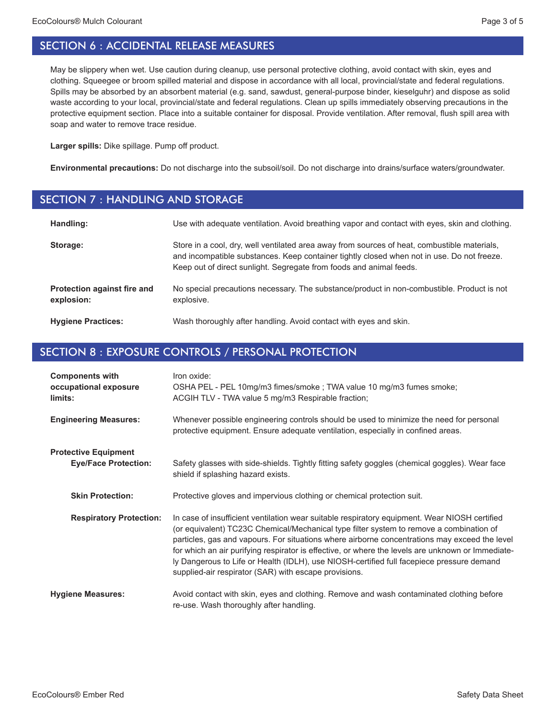May be slippery when wet. Use caution during cleanup, use personal protective clothing, avoid contact with skin, eyes and clothing. Squeegee or broom spilled material and dispose in accordance with all local, provincial/state and federal regulations. Spills may be absorbed by an absorbent material (e.g. sand, sawdust, general-purpose binder, kieselguhr) and dispose as solid waste according to your local, provincial/state and federal regulations. Clean up spills immediately observing precautions in the protective equipment section. Place into a suitable container for disposal. Provide ventilation. After removal, flush spill area with soap and water to remove trace residue.

**Larger spills:** Dike spillage. Pump off product.

**Environmental precautions:** Do not discharge into the subsoil/soil. Do not discharge into drains/surface waters/groundwater.

#### SECTION 7 : HANDLING AND STORAGE

| Handling:                                 | Use with adequate ventilation. Avoid breathing vapor and contact with eyes, skin and clothing.                                                                                                                                                                    |
|-------------------------------------------|-------------------------------------------------------------------------------------------------------------------------------------------------------------------------------------------------------------------------------------------------------------------|
| Storage:                                  | Store in a cool, dry, well ventilated area away from sources of heat, combustible materials,<br>and incompatible substances. Keep container tightly closed when not in use. Do not freeze.<br>Keep out of direct sunlight. Segregate from foods and animal feeds. |
| Protection against fire and<br>explosion: | No special precautions necessary. The substance/product in non-combustible. Product is not<br>explosive.                                                                                                                                                          |
| <b>Hygiene Practices:</b>                 | Wash thoroughly after handling. Avoid contact with eyes and skin.                                                                                                                                                                                                 |

# SECTION 8 : EXPOSURE CONTROLS / PERSONAL PROTECTION

| <b>Components with</b><br>occupational exposure<br>limits: | Iron oxide:<br>OSHA PEL - PEL 10mg/m3 fimes/smoke ; TWA value 10 mg/m3 fumes smoke;<br>ACGIH TLV - TWA value 5 mg/m3 Respirable fraction;                                                                                                                                                                                                                                                                                                                                                                                                            |
|------------------------------------------------------------|------------------------------------------------------------------------------------------------------------------------------------------------------------------------------------------------------------------------------------------------------------------------------------------------------------------------------------------------------------------------------------------------------------------------------------------------------------------------------------------------------------------------------------------------------|
| <b>Engineering Measures:</b>                               | Whenever possible engineering controls should be used to minimize the need for personal<br>protective equipment. Ensure adequate ventilation, especially in confined areas.                                                                                                                                                                                                                                                                                                                                                                          |
| <b>Protective Equipment</b><br><b>Eye/Face Protection:</b> | Safety glasses with side-shields. Tightly fitting safety goggles (chemical goggles). Wear face<br>shield if splashing hazard exists.                                                                                                                                                                                                                                                                                                                                                                                                                 |
| <b>Skin Protection:</b>                                    | Protective gloves and impervious clothing or chemical protection suit.                                                                                                                                                                                                                                                                                                                                                                                                                                                                               |
| <b>Respiratory Protection:</b>                             | In case of insufficient ventilation wear suitable respiratory equipment. Wear NIOSH certified<br>(or equivalent) TC23C Chemical/Mechanical type filter system to remove a combination of<br>particles, gas and vapours. For situations where airborne concentrations may exceed the level<br>for which an air purifying respirator is effective, or where the levels are unknown or Immediate-<br>ly Dangerous to Life or Health (IDLH), use NIOSH-certified full facepiece pressure demand<br>supplied-air respirator (SAR) with escape provisions. |
| <b>Hygiene Measures:</b>                                   | Avoid contact with skin, eyes and clothing. Remove and wash contaminated clothing before<br>re-use. Wash thoroughly after handling.                                                                                                                                                                                                                                                                                                                                                                                                                  |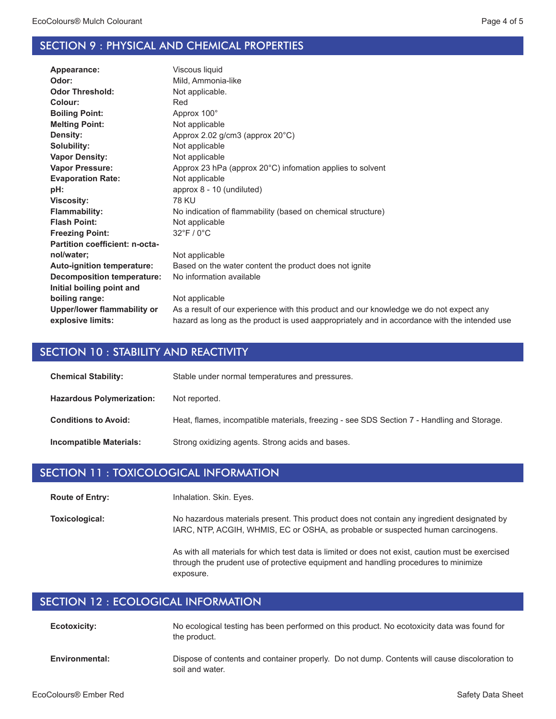#### SECTION 9 : PHYSICAL AND CHEMICAL PROPERTIES

| Appearance:                       | Viscous liquid                                                                               |
|-----------------------------------|----------------------------------------------------------------------------------------------|
| Odor:                             | Mild, Ammonia-like                                                                           |
| <b>Odor Threshold:</b>            | Not applicable.                                                                              |
| Colour:                           | Red                                                                                          |
| <b>Boiling Point:</b>             | Approx 100°                                                                                  |
| <b>Melting Point:</b>             | Not applicable                                                                               |
| Density:                          | Approx 2.02 g/cm3 (approx 20°C)                                                              |
| Solubility:                       | Not applicable                                                                               |
| <b>Vapor Density:</b>             | Not applicable                                                                               |
| <b>Vapor Pressure:</b>            | Approx 23 hPa (approx 20°C) infomation applies to solvent                                    |
| <b>Evaporation Rate:</b>          | Not applicable                                                                               |
| pH:                               | approx 8 - 10 (undiluted)                                                                    |
| <b>Viscosity:</b>                 | <b>78 KU</b>                                                                                 |
| <b>Flammability:</b>              | No indication of flammability (based on chemical structure)                                  |
| <b>Flash Point:</b>               | Not applicable                                                                               |
| <b>Freezing Point:</b>            | 32°F / 0°C                                                                                   |
| Partition coefficient: n-octa-    |                                                                                              |
| nol/water;                        | Not applicable                                                                               |
| Auto-ignition temperature:        | Based on the water content the product does not ignite                                       |
| <b>Decomposition temperature:</b> | No information available                                                                     |
| Initial boiling point and         |                                                                                              |
| boiling range:                    | Not applicable                                                                               |
| Upper/lower flammability or       | As a result of our experience with this product and our knowledge we do not expect any       |
| explosive limits:                 | hazard as long as the product is used aappropriately and in accordance with the intended use |
|                                   |                                                                                              |

#### SECTION 10 : STABILITY AND REACTIVITY

| <b>Chemical Stability:</b>       | Stable under normal temperatures and pressures.                                            |
|----------------------------------|--------------------------------------------------------------------------------------------|
| <b>Hazardous Polymerization:</b> | Not reported.                                                                              |
| <b>Conditions to Avoid:</b>      | Heat, flames, incompatible materials, freezing - see SDS Section 7 - Handling and Storage. |
| Incompatible Materials:          | Strong oxidizing agents. Strong acids and bases.                                           |

#### SECTION 11 : TOXICOLOGICAL INFORMATION

Inhalation. Skin. Eyes. **Route of Entry:**

No hazardous materials present. This product does not contain any ingredient designated by IARC, NTP, ACGIH, WHMIS, EC or OSHA, as probable or suspected human carcinogens. **Toxicological:**

> As with all materials for which test data is limited or does not exist, caution must be exercised through the prudent use of protective equipment and handling procedures to minimize exposure.

## SECTION 12 : ECOLOGICAL INFORMATION

| <b>Ecotoxicity:</b> | No ecological testing has been performed on this product. No ecotoxicity data was found for<br>the product. |
|---------------------|-------------------------------------------------------------------------------------------------------------|
| Environmontal:      | Dienose of contents and container properly. Do not dumn. Contents will cause discoloration t                |

Dispose of contents and container properly. Do not dump. Contents will cause discoloration to soil and water. **Environmental:**